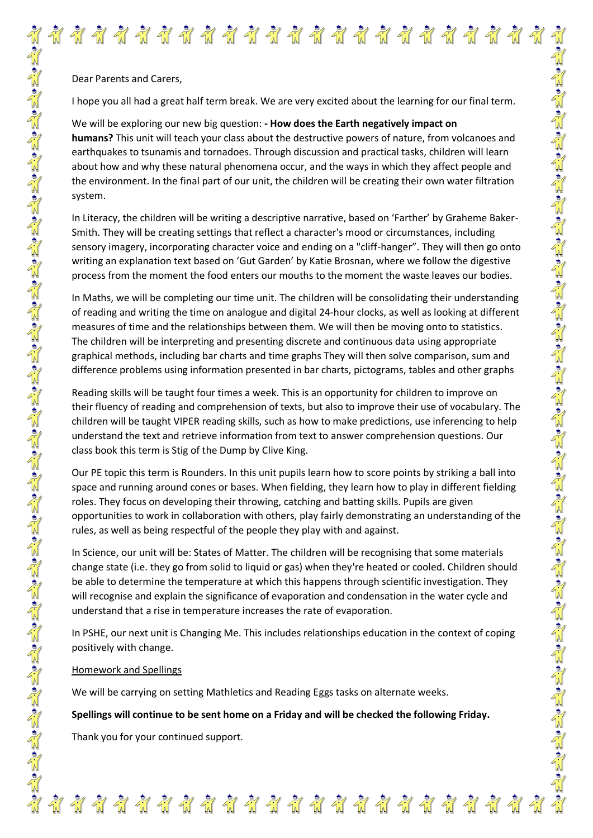Dear Parents and Carers,

I hope you all had a great half term break. We are very excited about the learning for our final term.

\*\*\*\*\*\*\*\*\*\*\*\*\*\*\*\*\*\*\*\*\*\*\*\*\*\*

We will be exploring our new big question: **- How does the Earth negatively impact on humans?** This unit will teach your class about the destructive powers of nature, from volcanoes and earthquakes to tsunamis and tornadoes. Through discussion and practical tasks, children will learn about how and why these natural phenomena occur, and the ways in which they affect people and the environment. In the final part of our unit, the children will be creating their own water filtration system.

In Literacy, the children will be writing a descriptive narrative, based on 'Farther' by Graheme Baker-Smith. They will be creating settings that reflect a character's mood or circumstances, including sensory imagery, incorporating character voice and ending on a "cliff-hanger". They will then go onto writing an explanation text based on 'Gut Garden' by Katie Brosnan, where we follow the digestive process from the moment the food enters our mouths to the moment the waste leaves our bodies.

In Maths, we will be completing our time unit. The children will be consolidating their understanding of reading and writing the time on analogue and digital 24-hour clocks, as well as looking at different measures of time and the relationships between them. We will then be moving onto to statistics. The children will be interpreting and presenting discrete and continuous data using appropriate graphical methods, including bar charts and time graphs They will then solve comparison, sum and difference problems using information presented in bar charts, pictograms, tables and other graphs

Reading skills will be taught four times a week. This is an opportunity for children to improve on their fluency of reading and comprehension of texts, but also to improve their use of vocabulary. The children will be taught VIPER reading skills, such as how to make predictions, use inferencing to help understand the text and retrieve information from text to answer comprehension questions. Our class book this term is Stig of the Dump by Clive King.

ما ما المائة المائة المائة المائة المائة المائة المائة المائة المائة المائة المائة المائة المائة المائة المائة

Our PE topic this term is Rounders. In this unit pupils learn how to score points by striking a ball into space and running around cones or bases. When fielding, they learn how to play in different fielding roles. They focus on developing their throwing, catching and batting skills. Pupils are given opportunities to work in collaboration with others, play fairly demonstrating an understanding of the rules, as well as being respectful of the people they play with and against.

In Science, our unit will be: States of Matter. The children will be recognising that some materials change state (i.e. they go from solid to liquid or gas) when they're heated or cooled. Children should be able to determine the temperature at which this happens through scientific investigation. They will recognise and explain the significance of evaporation and condensation in the water cycle and understand that a rise in temperature increases the rate of evaporation.

In PSHE, our next unit is Changing Me. This includes relationships education in the context of coping positively with change.

## Homework and Spellings

We will be carrying on setting Mathletics and Reading Eggs tasks on alternate weeks.

**Spellings will continue to be sent home on a Friday and will be checked the following Friday.**

Thank you for your continued support.